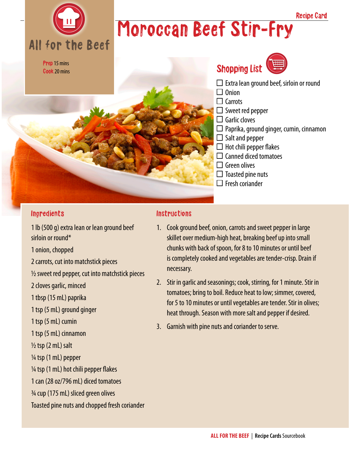

# Moroccan Beef Stir-Fry

Prep 15 mins Cook 20 mins



Recipe Card

#### **Ingredients**

1 lb (500 g) extra lean or lean ground beef sirloin or round\* 1 onion, chopped 2 carrots, cut into matchstick pieces  $\frac{1}{2}$  sweet red pepper, cut into matchstick pieces 2 cloves garlic, minced 1 tbsp (15 mL) paprika 1 tsp (5 mL) ground ginger 1 tsp (5 mL) cumin 1 tsp (5 mL) cinnamon  $\frac{1}{2}$  tsp (2 mL) salt ¼ tsp (1 mL) pepper  $\frac{1}{4}$  tsp (1 mL) hot chili pepper flakes 1 can (28 oz/796 mL) diced tomatoes ¾ cup (175 mL) sliced green olives Toasted pine nuts and chopped fresh coriander

#### **Instructions**

- 1. Cook ground beef, onion, carrots and sweet pepper in large skillet over medium-high heat, breaking beef up into small chunks with back of spoon, for 8 to 10 minutes or until beef is completely cooked and vegetables are tender-crisp. Drain if necessary.
- 2. Stir in garlic and seasonings; cook, stirring, for 1 minute. Stir in tomatoes; bring to boil. Reduce heat to low; simmer, covered, for 5 to 10 minutes or until vegetables are tender. Stir in olives; heat through. Season with more salt and pepper if desired.
- 3. Garnish with pine nuts and coriander to serve.